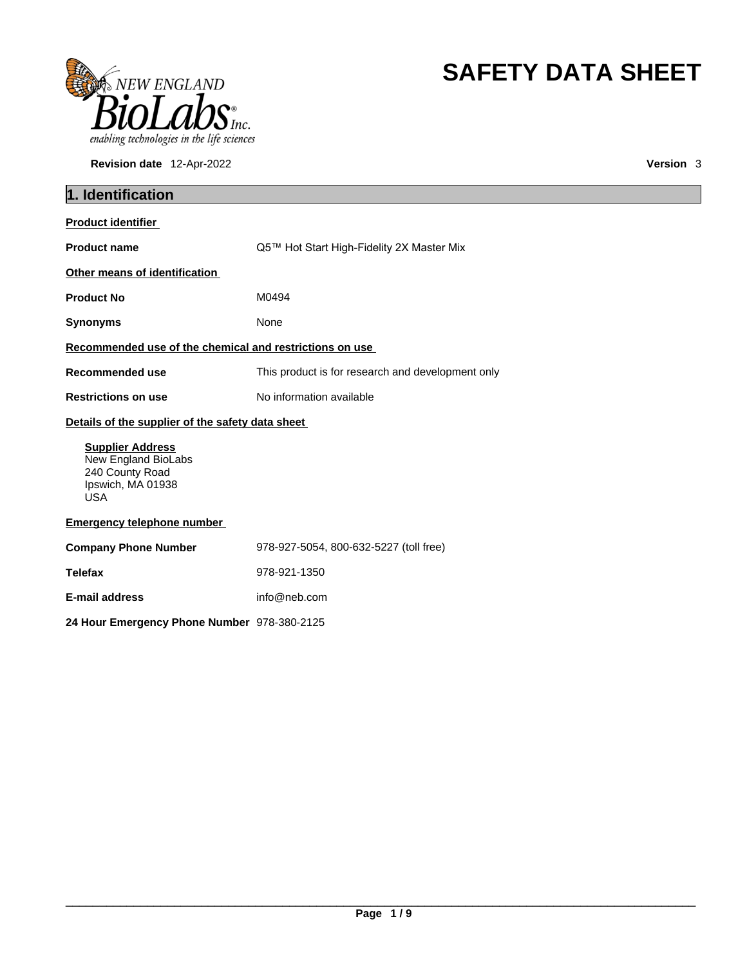

**Revision date** 12-Apr-2022 **Version** 3

# **SAFETY DATA SHEET**

| 1. Identification                                                                                    |                                                   |
|------------------------------------------------------------------------------------------------------|---------------------------------------------------|
| <b>Product identifier</b>                                                                            |                                                   |
| <b>Product name</b>                                                                                  | Q5™ Hot Start High-Fidelity 2X Master Mix         |
| Other means of identification                                                                        |                                                   |
| <b>Product No</b>                                                                                    | M0494                                             |
| <b>Synonyms</b>                                                                                      | None                                              |
| Recommended use of the chemical and restrictions on use                                              |                                                   |
| Recommended use                                                                                      | This product is for research and development only |
| <b>Restrictions on use</b>                                                                           | No information available                          |
| Details of the supplier of the safety data sheet                                                     |                                                   |
| <b>Supplier Address</b><br>New England BioLabs<br>240 County Road<br>Ipswich, MA 01938<br><b>USA</b> |                                                   |
| <b>Emergency telephone number</b>                                                                    |                                                   |
| <b>Company Phone Number</b>                                                                          | 978-927-5054, 800-632-5227 (toll free)            |
| <b>Telefax</b>                                                                                       | 978-921-1350                                      |
| E-mail address                                                                                       | info@neb.com                                      |
| 24 Hour Emergency Phone Number 978-380-2125                                                          |                                                   |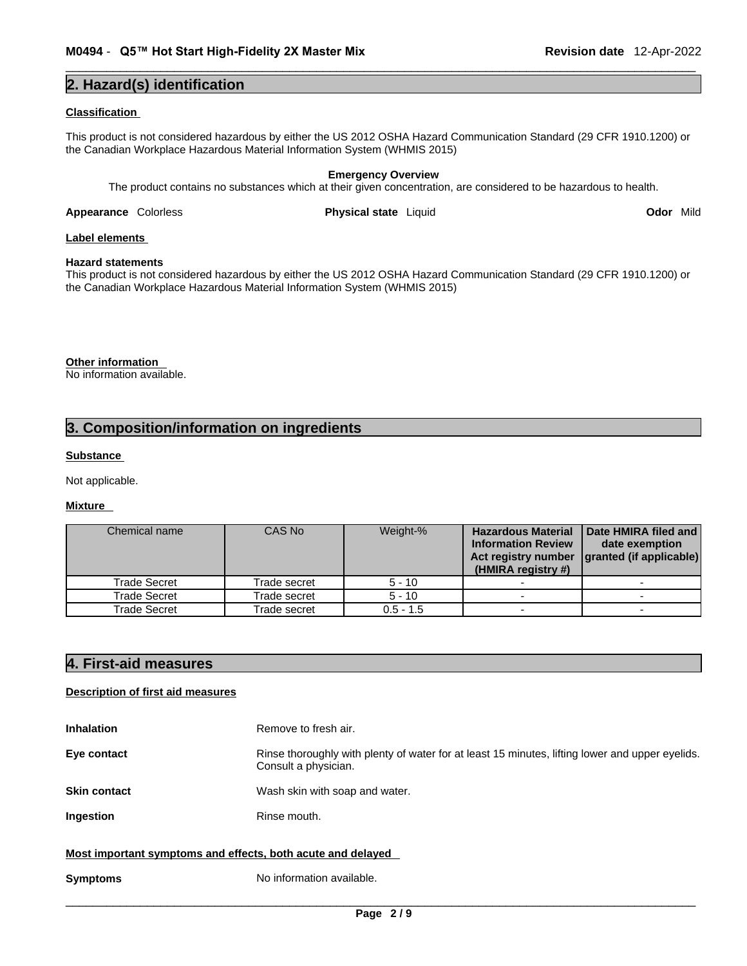## **2. Hazard(s) identification**

### **Classification**

This product is not considered hazardous by either the US 2012 OSHA Hazard Communication Standard (29 CFR 1910.1200) or the Canadian Workplace Hazardous Material Information System (WHMIS 2015)

## **Emergency Overview**

The product contains no substances which at their given concentration, are considered to be hazardous to health.

**Appearance** Colorless **Physical state** Liquid **Odor** Mild

## **Label elements**

**Hazard statements**  This product is not considered hazardous by either the US 2012 OSHA Hazard Communication Standard (29 CFR 1910.1200) or the Canadian Workplace Hazardous Material Information System (WHMIS 2015)

**Other information** 

No information available.

## **3. Composition/information on ingredients**

## **Substance**

Not applicable.

#### **Mixture**

| Chemical name       | CAS No       | Weight-%    | <b>Hazardous Material</b><br><b>Information Review</b><br>Act registry number<br>(HMIRA registry #) | Date HMIRA filed and<br>date exemption<br>granted (if applicable) |
|---------------------|--------------|-------------|-----------------------------------------------------------------------------------------------------|-------------------------------------------------------------------|
| <b>Trade Secret</b> | Trade secret | $5 - 10$    |                                                                                                     |                                                                   |
| Trade Secret        | Trade secret | $5 - 10$    |                                                                                                     |                                                                   |
| Trade Secret        | Trade secret | $0.5 - 1.5$ |                                                                                                     |                                                                   |

## **4. First-aid measures**

## **Description of first aid measures**

| <b>Inhalation</b>                                           | Remove to fresh air.                                                                                                    |
|-------------------------------------------------------------|-------------------------------------------------------------------------------------------------------------------------|
| Eye contact                                                 | Rinse thoroughly with plenty of water for at least 15 minutes, lifting lower and upper eyelids.<br>Consult a physician. |
| <b>Skin contact</b>                                         | Wash skin with soap and water.                                                                                          |
| Ingestion                                                   | Rinse mouth.                                                                                                            |
| Most important symptoms and effects, both acute and delayed |                                                                                                                         |
| <b>Symptoms</b>                                             | No information available.                                                                                               |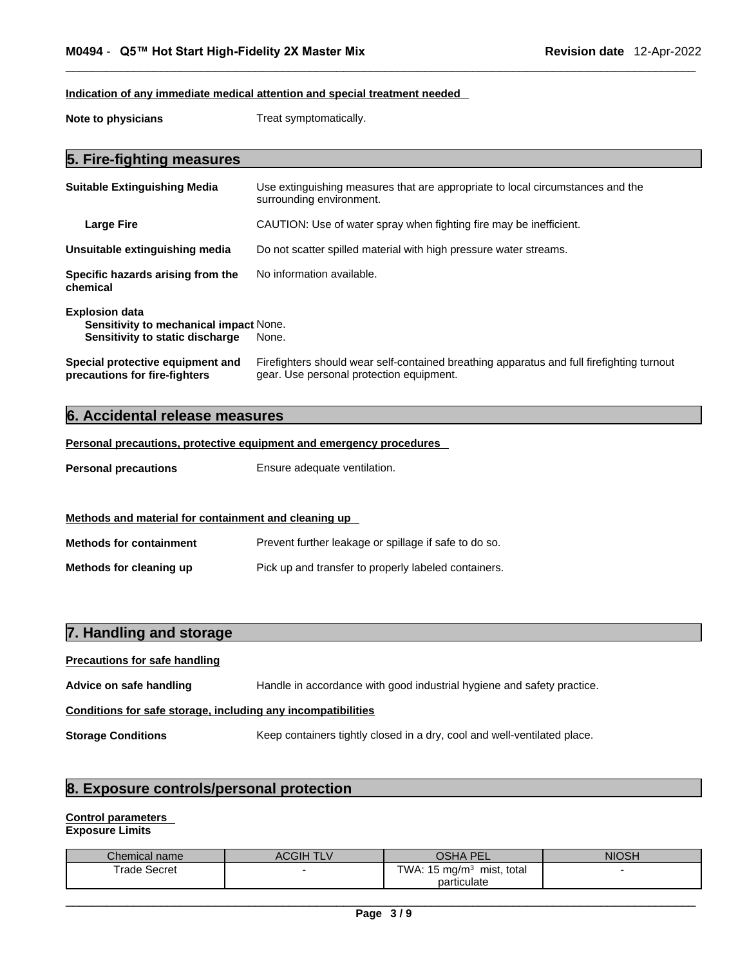## **Indication of any immediate medical attention and special treatment needed**

**Note to physicians** Treat symptomatically.

## **5. Fire-fighting measures**

| <b>Suitable Extinguishing Media</b>                                                                | Use extinguishing measures that are appropriate to local circumstances and the<br>surrounding environment.                            |
|----------------------------------------------------------------------------------------------------|---------------------------------------------------------------------------------------------------------------------------------------|
| <b>Large Fire</b>                                                                                  | CAUTION: Use of water spray when fighting fire may be inefficient.                                                                    |
| Unsuitable extinguishing media                                                                     | Do not scatter spilled material with high pressure water streams.                                                                     |
| Specific hazards arising from the<br>chemical                                                      | No information available.                                                                                                             |
| <b>Explosion data</b><br>Sensitivity to mechanical impact None.<br>Sensitivity to static discharge | None.                                                                                                                                 |
| Special protective equipment and<br>precautions for fire-fighters                                  | Firefighters should wear self-contained breathing apparatus and full firefighting turnout<br>gear. Use personal protection equipment. |

## **6. Accidental release measures**

## **Personal precautions, protective equipment and emergency procedures**

**Personal precautions** Ensure adequate ventilation.

## **Methods and material for containment and cleaning up**

| <b>Methods for containment</b> | Prevent further leakage or spillage if safe to do so. |
|--------------------------------|-------------------------------------------------------|
| Methods for cleaning up        | Pick up and transfer to properly labeled containers.  |

| 7. Handling and storage                                      |                                                                          |  |
|--------------------------------------------------------------|--------------------------------------------------------------------------|--|
| <b>Precautions for safe handling</b>                         |                                                                          |  |
| Advice on safe handling                                      | Handle in accordance with good industrial hygiene and safety practice.   |  |
| Conditions for safe storage, including any incompatibilities |                                                                          |  |
| <b>Storage Conditions</b>                                    | Keep containers tightly closed in a dry, cool and well-ventilated place. |  |

## **8. Exposure controls/personal protection**

## **Control parameters**

**Exposure Limits**

| Chemical name | <b>ACGIH TLV</b> | <b>OSHA</b><br><b>PF</b>                   | <b>NIOSH</b> |
|---------------|------------------|--------------------------------------------|--------------|
| Trade Secret  |                  | TWA: $15 \text{ ma/m}^3$<br>mist.<br>total |              |
|               |                  | particulate                                |              |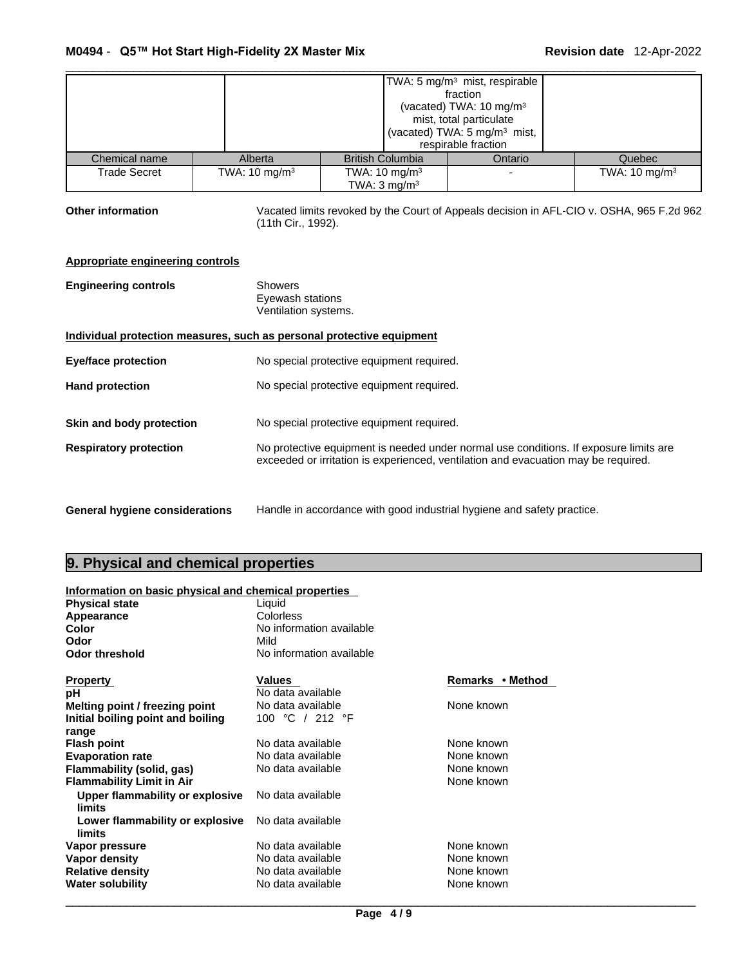|               |                          |                          | TWA: 5 mg/m <sup>3</sup> mist, respirable<br>fraction<br>(vacated) TWA: $10 \text{ mg/m}^3$<br>mist, total particulate<br>(vacated) TWA: 5 mg/m <sup>3</sup> mist,<br>respirable fraction |                          |
|---------------|--------------------------|--------------------------|-------------------------------------------------------------------------------------------------------------------------------------------------------------------------------------------|--------------------------|
| Chemical name | Alberta                  | <b>British Columbia</b>  | Ontario                                                                                                                                                                                   | Quebec                   |
| Trade Secret  | TWA: $10 \text{ mg/m}^3$ | TWA: $10 \text{ mg/m}^3$ |                                                                                                                                                                                           | TWA: $10 \text{ mg/m}^3$ |
|               |                          | TWA: $3 \text{ mg/m}^3$  |                                                                                                                                                                                           |                          |

Other information **Vacated limits revoked by the Court of Appeals decision in AFL-CIO v. OSHA, 965 F.2d 962** (11th Cir., 1992).

## **Appropriate engineering controls**

| <b>Engineering controls</b>           | <b>Showers</b><br>Eyewash stations<br>Ventilation systems.                                                                                                                  |
|---------------------------------------|-----------------------------------------------------------------------------------------------------------------------------------------------------------------------------|
|                                       | Individual protection measures, such as personal protective equipment                                                                                                       |
| <b>Eye/face protection</b>            | No special protective equipment required.                                                                                                                                   |
| <b>Hand protection</b>                | No special protective equipment required.                                                                                                                                   |
| Skin and body protection              | No special protective equipment required.                                                                                                                                   |
| <b>Respiratory protection</b>         | No protective equipment is needed under normal use conditions. If exposure limits are<br>exceeded or irritation is experienced, ventilation and evacuation may be required. |
| <b>General hygiene considerations</b> | Handle in accordance with good industrial hygiene and safety practice.                                                                                                      |

## **9. Physical and chemical properties**

| Information on basic physical and chemical properties |                          |                  |
|-------------------------------------------------------|--------------------------|------------------|
| <b>Physical state</b>                                 | Liquid                   |                  |
| Appearance                                            | Colorless                |                  |
| <b>Color</b>                                          | No information available |                  |
| Odor                                                  | Mild                     |                  |
| <b>Odor threshold</b>                                 | No information available |                  |
|                                                       |                          |                  |
| <b>Property</b>                                       | Values                   | Remarks • Method |
| рH                                                    | No data available        |                  |
| Melting point / freezing point                        | No data available        | None known       |
| Initial boiling point and boiling                     | 100 °C / 212 °F          |                  |
| range                                                 |                          |                  |
| <b>Flash point</b>                                    | No data available        | None known       |
| <b>Evaporation rate</b>                               | No data available        | None known       |
| Flammability (solid, gas)                             | No data available        | None known       |
| <b>Flammability Limit in Air</b>                      |                          | None known       |
| Upper flammability or explosive                       | No data available        |                  |
| limits                                                |                          |                  |
| Lower flammability or explosive                       | No data available        |                  |
| limits                                                |                          |                  |
| Vapor pressure                                        | No data available        | None known       |
| Vapor density                                         | No data available        | None known       |
| <b>Relative density</b>                               | No data available        | None known       |
| <b>Water solubility</b>                               | No data available        | None known       |
|                                                       |                          |                  |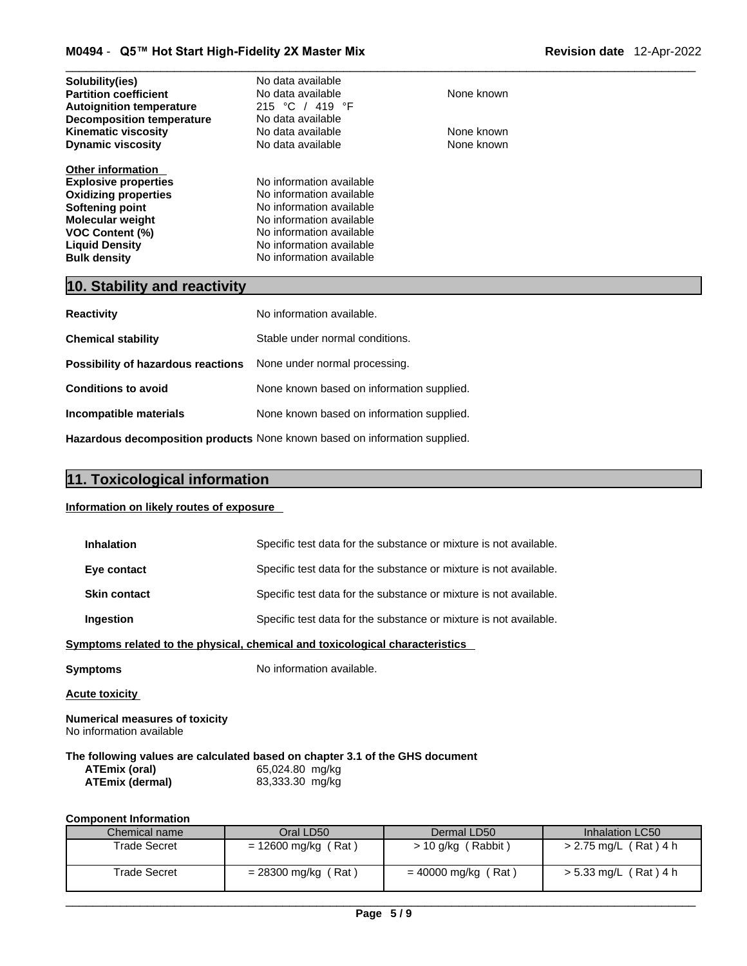| No data available        |            |
|--------------------------|------------|
| No data available        | None known |
| 215 °C / 419 °F          |            |
| No data available        |            |
| No data available        | None known |
| No data available        | None known |
|                          |            |
| No information available |            |
| No information available |            |
| No information available |            |
| No information available |            |
| No information available |            |
| No information available |            |
| No information available |            |
|                          |            |

## **10. Stability and reactivity**

| <b>Reactivity</b>                                                       | No information available.                 |
|-------------------------------------------------------------------------|-------------------------------------------|
| <b>Chemical stability</b>                                               | Stable under normal conditions.           |
| <b>Possibility of hazardous reactions</b> None under normal processing. |                                           |
| <b>Conditions to avoid</b>                                              | None known based on information supplied. |
| Incompatible materials                                                  | None known based on information supplied. |
|                                                                         |                                           |

**Hazardous decomposition products** None known based on information supplied.

## **11. Toxicological information**

## **Information on likely routes of exposure**

| <b>Inhalation</b>                                                 | Specific test data for the substance or mixture is not available.            |
|-------------------------------------------------------------------|------------------------------------------------------------------------------|
| Eye contact                                                       | Specific test data for the substance or mixture is not available.            |
| <b>Skin contact</b>                                               | Specific test data for the substance or mixture is not available.            |
| <b>Ingestion</b>                                                  | Specific test data for the substance or mixture is not available.            |
|                                                                   | Symptoms related to the physical, chemical and toxicological characteristics |
| Symptoms                                                          | No information available.                                                    |
| Acute toxicity                                                    |                                                                              |
| <b>Numerical measures of toxicity</b><br>No information available |                                                                              |

## **The following values are calculated based on chapter 3.1 of the GHS document**

| ATEmix (oral)   | 65,024.80 mg/kg |
|-----------------|-----------------|
| ATEmix (dermal) | 83,333.30 mg/kg |

## **Component Information**

| Chemical name | Oral LD50             | Dermal LD50            | Inhalation LC50       |
|---------------|-----------------------|------------------------|-----------------------|
| Trade Secret  | $= 12600$ mg/kg (Rat) | Rabbit)<br>> 10 g/kg ( | > 2.75 mg/L (Rat) 4 h |
| Trade Secret  | $= 28300$ mg/kg (Rat) | $= 40000$ mg/kg (Rat)  | > 5.33 mg/L (Rat) 4 h |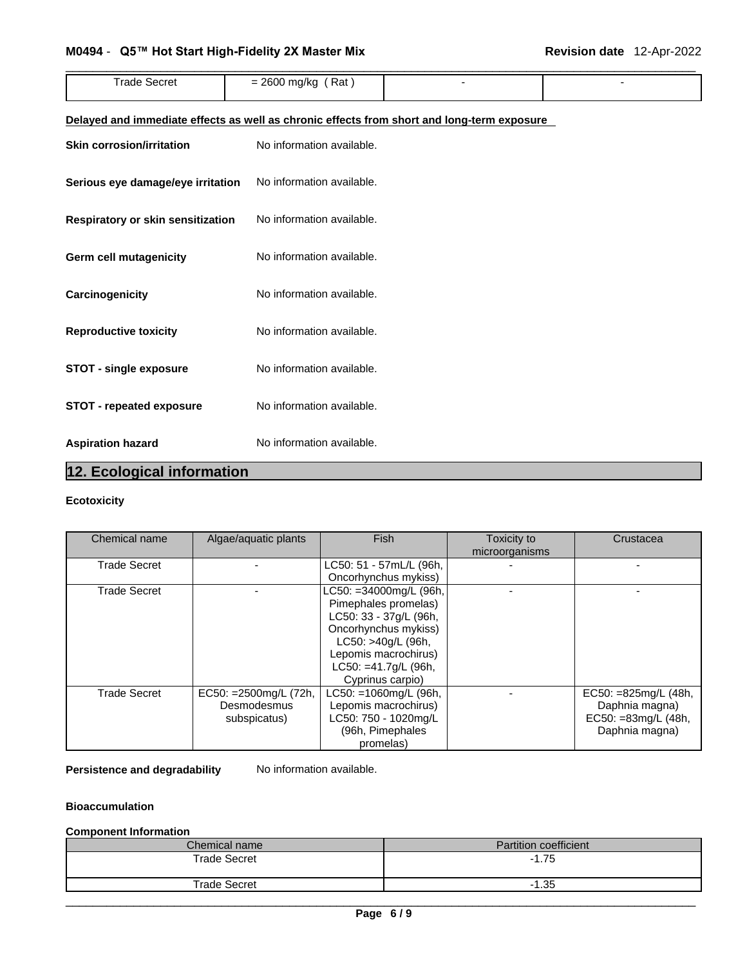## M0494 - Q5™ Hot Start High-Fidelity 2X Master Mix Figure 2001 - Revision date 12-Apr-2022

| <b>Trade Secret</b>                                                                        | $= 2600$ mg/kg (Rat)      |  |  |
|--------------------------------------------------------------------------------------------|---------------------------|--|--|
|                                                                                            |                           |  |  |
| Delayed and immediate effects as well as chronic effects from short and long-term exposure |                           |  |  |
| <b>Skin corrosion/irritation</b>                                                           | No information available. |  |  |
| Serious eye damage/eye irritation                                                          | No information available. |  |  |
| Respiratory or skin sensitization                                                          | No information available. |  |  |
| <b>Germ cell mutagenicity</b>                                                              | No information available. |  |  |
| Carcinogenicity                                                                            | No information available. |  |  |
| <b>Reproductive toxicity</b>                                                               | No information available. |  |  |
| <b>STOT - single exposure</b>                                                              | No information available. |  |  |
| <b>STOT - repeated exposure</b>                                                            | No information available. |  |  |
| <b>Aspiration hazard</b>                                                                   | No information available. |  |  |

## **12. Ecological information**

## **Ecotoxicity**

| Chemical name       | Algae/aquatic plants     | <b>Fish</b>                | Toxicity to    | Crustacea              |
|---------------------|--------------------------|----------------------------|----------------|------------------------|
|                     |                          |                            | microorganisms |                        |
| <b>Trade Secret</b> |                          | LC50: 51 - 57mL/L (96h,    |                |                        |
|                     |                          | Oncorhynchus mykiss)       |                |                        |
| <b>Trade Secret</b> |                          | $LC50: = 34000$ mg/L (96h, |                |                        |
|                     |                          | Pimephales promelas)       |                |                        |
|                     |                          | LC50: 33 - 37g/L (96h,     |                |                        |
|                     |                          | Oncorhynchus mykiss)       |                |                        |
|                     |                          | LC50: >40g/L (96h,         |                |                        |
|                     |                          | Lepomis macrochirus)       |                |                        |
|                     |                          | LC50: =41.7g/L (96h,       |                |                        |
|                     |                          | Cyprinus carpio)           |                |                        |
| <b>Trade Secret</b> | EC50: $=2500$ mg/L (72h, | LC50: =1060mg/L (96h,      |                | EC50: $=825mg/L(48h,$  |
|                     | Desmodesmus              | Lepomis macrochirus)       |                | Daphnia magna)         |
|                     | subspicatus)             | LC50: 750 - 1020mg/L       |                | $EC50: = 83mg/L (48h,$ |
|                     |                          | (96h, Pimephales           |                | Daphnia magna)         |
|                     |                          | promelas)                  |                |                        |

## **Persistence and degradability** No information available.

## **Bioaccumulation**

## **Component Information**

| Chemical name       | <b>Partition coefficient</b> |
|---------------------|------------------------------|
| <b>Trade Secret</b> | $-1.75$                      |
| <b>Trade Secret</b> | $-1.35$                      |
|                     |                              |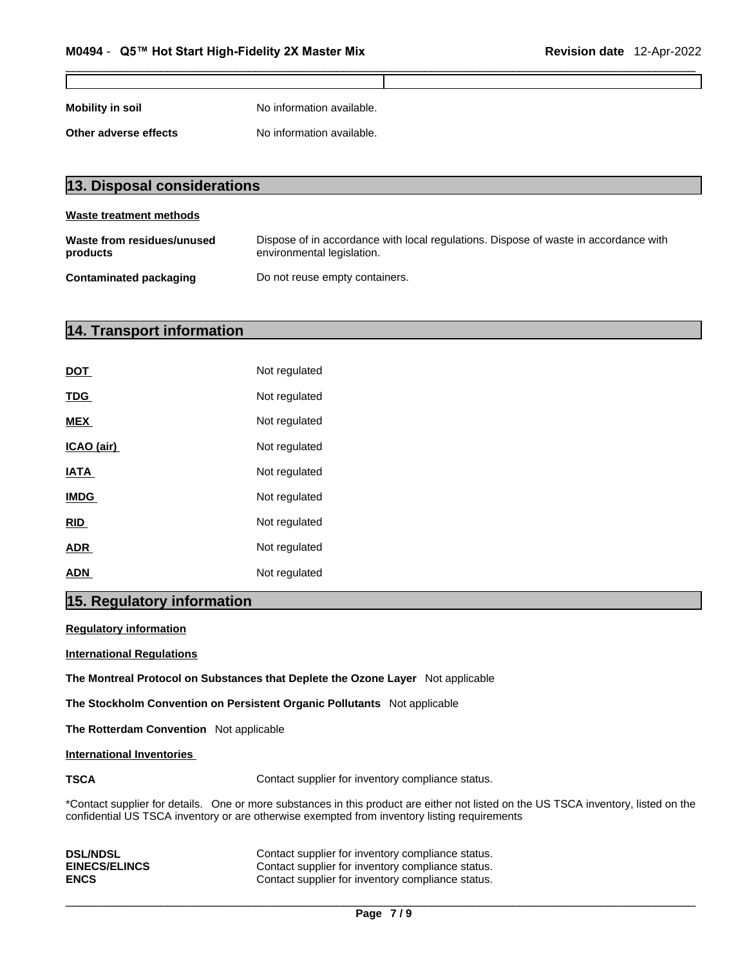**Mobility in soil** No information available.

**Other adverse effects** No information available.

| 13. Disposal considerations            |                                                                                                                    |  |
|----------------------------------------|--------------------------------------------------------------------------------------------------------------------|--|
| Waste treatment methods                |                                                                                                                    |  |
| Waste from residues/unused<br>products | Dispose of in accordance with local regulations. Dispose of waste in accordance with<br>environmental legislation. |  |
| Contaminated packaging                 | Do not reuse empty containers.                                                                                     |  |

## **14. Transport information**

| <b>DOT</b>  | Not regulated |
|-------------|---------------|
| <b>TDG</b>  | Not regulated |
| <b>MEX</b>  | Not regulated |
| ICAO (air)  | Not regulated |
| <b>IATA</b> | Not regulated |
| <b>IMDG</b> | Not regulated |
| <b>RID</b>  | Not regulated |
| <b>ADR</b>  | Not regulated |
| <b>ADN</b>  | Not regulated |

## **15. Regulatory information**

**Regulatory information**

**International Regulations**

**The Montreal Protocol on Substances that Deplete the Ozone Layer** Not applicable

**The Stockholm Convention on Persistent Organic Pollutants** Not applicable

**The Rotterdam Convention** Not applicable

**International Inventories**

**TSCA Contact supplier for inventory compliance status.** 

\*Contact supplier for details. One or more substances in this product are either not listed on the US TSCA inventory, listed on the confidential US TSCA inventory or are otherwise exempted from inventory listing requirements

| <b>DSL/NDSL</b>      | Contact supplier for inventory compliance status. |
|----------------------|---------------------------------------------------|
| <b>EINECS/ELINCS</b> | Contact supplier for inventory compliance status. |
| <b>ENCS</b>          | Contact supplier for inventory compliance status. |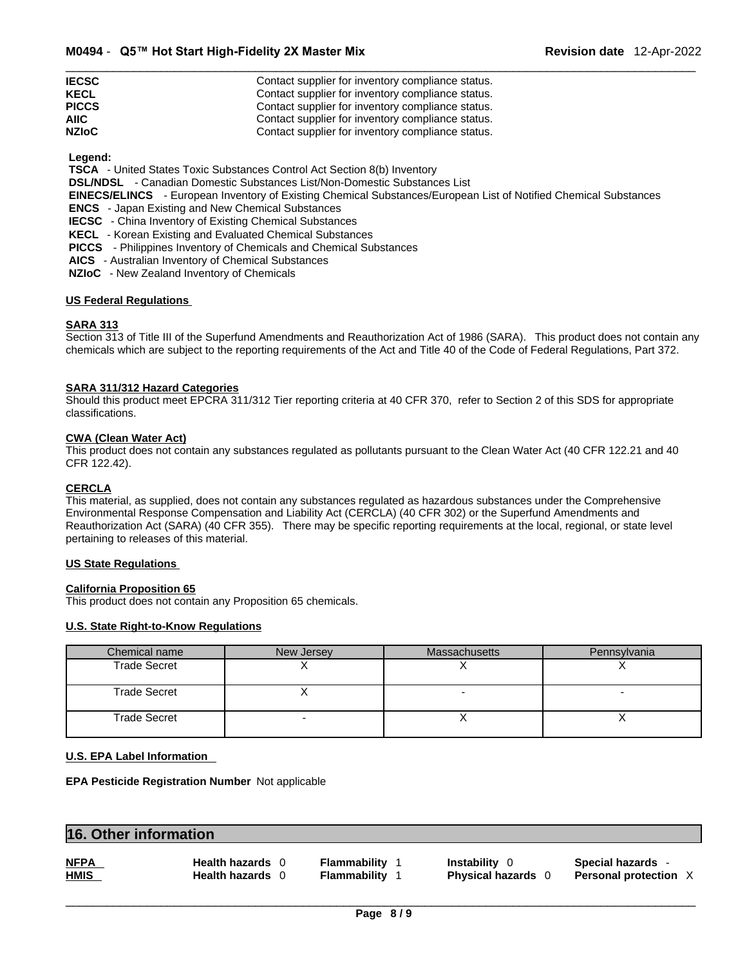| <b>IECSC</b> | Contact supplier for inventory compliance status. |
|--------------|---------------------------------------------------|
| <b>KECL</b>  | Contact supplier for inventory compliance status. |
| <b>PICCS</b> | Contact supplier for inventory compliance status. |
| <b>AIIC</b>  | Contact supplier for inventory compliance status. |
| <b>NZIoC</b> | Contact supplier for inventory compliance status. |

 **Legend:** 

 **TSCA** - United States Toxic Substances Control Act Section 8(b) Inventory

 **DSL/NDSL** - Canadian Domestic Substances List/Non-Domestic Substances List

 **EINECS/ELINCS** - European Inventory of Existing Chemical Substances/European List of Notified Chemical Substances

 **ENCS** - Japan Existing and New Chemical Substances

 **IECSC** - China Inventory of Existing Chemical Substances

 **KECL** - Korean Existing and Evaluated Chemical Substances

- **PICCS**  Philippines Inventory of Chemicals and Chemical Substances
- **AICS**  Australian Inventory of Chemical Substances

 **NZIoC** - New Zealand Inventory of Chemicals

## **US Federal Regulations**

## **SARA 313**

Section 313 of Title III of the Superfund Amendments and Reauthorization Act of 1986 (SARA). This product does not contain any chemicals which are subject to the reporting requirements of the Act and Title 40 of the Code of Federal Regulations, Part 372.

## **SARA 311/312 Hazard Categories**

Should this product meet EPCRA 311/312 Tier reporting criteria at 40 CFR 370, refer to Section 2 of this SDS for appropriate classifications.

#### **CWA (Clean WaterAct)**

This product does not contain any substances regulated as pollutants pursuant to the Clean Water Act (40 CFR 122.21 and 40 CFR 122.42).

#### **CERCLA**

This material, as supplied, does not contain any substances regulated as hazardous substances under the Comprehensive Environmental Response Compensation and Liability Act (CERCLA) (40 CFR 302) or the Superfund Amendments and Reauthorization Act (SARA) (40 CFR 355). There may be specific reporting requirements at the local, regional, or state level pertaining to releases of this material.

### **US State Regulations**

#### **California Proposition 65**

This product does not contain any Proposition 65 chemicals.

## **U.S. State Right-to-Know Regulations**

| Chemical name       | New Jersey | <b>Massachusetts</b> | Pennsylvania |
|---------------------|------------|----------------------|--------------|
| <b>Trade Secret</b> |            |                      |              |
| <b>Trade Secret</b> |            |                      |              |
| <b>Trade Secret</b> |            |                      |              |

## **U.S. EPA Label Information**

**EPA Pesticide Registration Number** Not applicable

## **16. Other information**